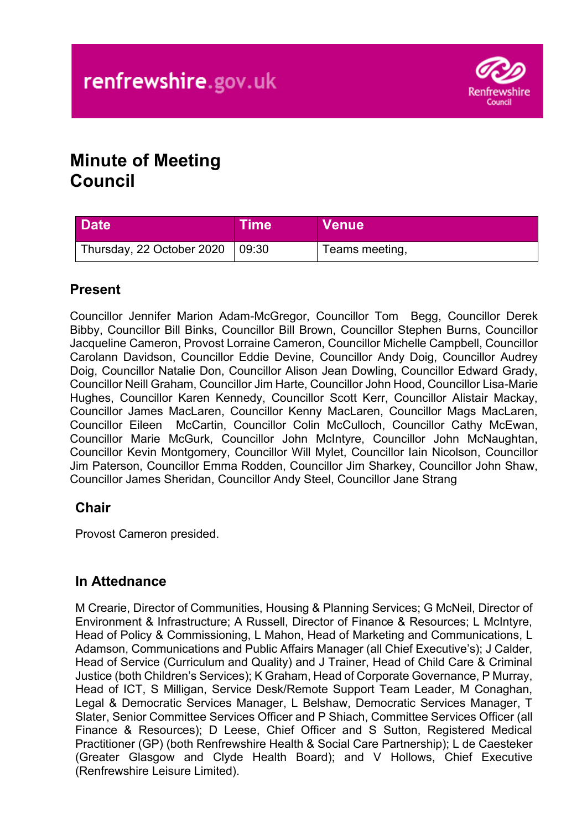

# **Minute of Meeting Council**

| Date <sup>1</sup>                       | <b>Time</b> | <b>Venue</b>   |
|-----------------------------------------|-------------|----------------|
| Thursday, 22 October 2020 $\vert$ 09:30 |             | Teams meeting, |

# **Present**

Councillor Jennifer Marion Adam-McGregor, Councillor Tom Begg, Councillor Derek Bibby, Councillor Bill Binks, Councillor Bill Brown, Councillor Stephen Burns, Councillor Jacqueline Cameron, Provost Lorraine Cameron, Councillor Michelle Campbell, Councillor Carolann Davidson, Councillor Eddie Devine, Councillor Andy Doig, Councillor Audrey Doig, Councillor Natalie Don, Councillor Alison Jean Dowling, Councillor Edward Grady, Councillor Neill Graham, Councillor Jim Harte, Councillor John Hood, Councillor Lisa-Marie Hughes, Councillor Karen Kennedy, Councillor Scott Kerr, Councillor Alistair Mackay, Councillor James MacLaren, Councillor Kenny MacLaren, Councillor Mags MacLaren, Councillor Eileen McCartin, Councillor Colin McCulloch, Councillor Cathy McEwan, Councillor Marie McGurk, Councillor John McIntyre, Councillor John McNaughtan, Councillor Kevin Montgomery, Councillor Will Mylet, Councillor Iain Nicolson, Councillor Jim Paterson, Councillor Emma Rodden, Councillor Jim Sharkey, Councillor John Shaw, Councillor James Sheridan, Councillor Andy Steel, Councillor Jane Strang

## **Chair**

Provost Cameron presided.

## **In Attednance**

M Crearie, Director of Communities, Housing & Planning Services; G McNeil, Director of Environment & Infrastructure; A Russell, Director of Finance & Resources; L McIntyre, Head of Policy & Commissioning, L Mahon, Head of Marketing and Communications, L Adamson, Communications and Public Affairs Manager (all Chief Executive's); J Calder, Head of Service (Curriculum and Quality) and J Trainer, Head of Child Care & Criminal Justice (both Children's Services); K Graham, Head of Corporate Governance, P Murray, Head of ICT, S Milligan, Service Desk/Remote Support Team Leader, M Conaghan, Legal & Democratic Services Manager, L Belshaw, Democratic Services Manager, T Slater, Senior Committee Services Officer and P Shiach, Committee Services Officer (all Finance & Resources); D Leese, Chief Officer and S Sutton, Registered Medical Practitioner (GP) (both Renfrewshire Health & Social Care Partnership); L de Caesteker (Greater Glasgow and Clyde Health Board); and V Hollows, Chief Executive (Renfrewshire Leisure Limited).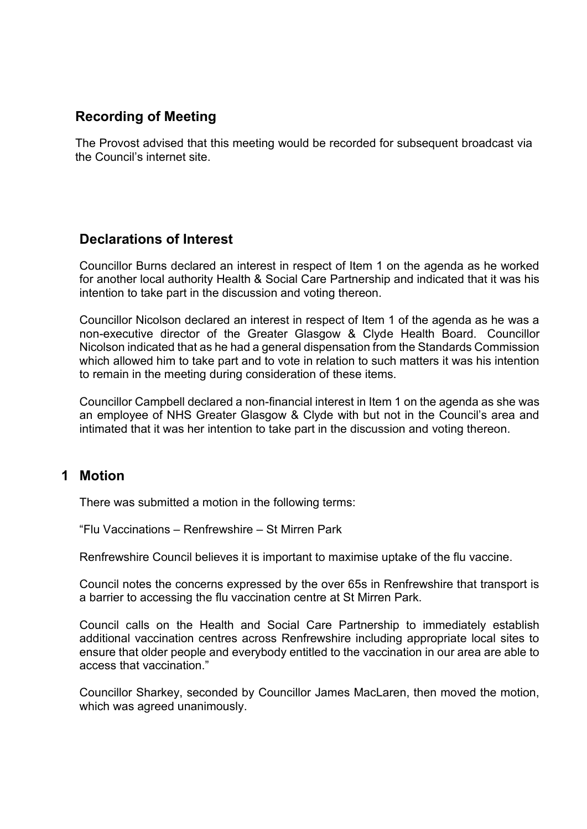## **Recording of Meeting**

The Provost advised that this meeting would be recorded for subsequent broadcast via the Council's internet site.

#### **Declarations of Interest**

Councillor Burns declared an interest in respect of Item 1 on the agenda as he worked for another local authority Health & Social Care Partnership and indicated that it was his intention to take part in the discussion and voting thereon.

Councillor Nicolson declared an interest in respect of Item 1 of the agenda as he was a non-executive director of the Greater Glasgow & Clyde Health Board. Councillor Nicolson indicated that as he had a general dispensation from the Standards Commission which allowed him to take part and to vote in relation to such matters it was his intention to remain in the meeting during consideration of these items.

Councillor Campbell declared a non-financial interest in Item 1 on the agenda as she was an employee of NHS Greater Glasgow & Clyde with but not in the Council's area and intimated that it was her intention to take part in the discussion and voting thereon.

#### **1 Motion**

There was submitted a motion in the following terms:

"Flu Vaccinations – Renfrewshire – St Mirren Park

Renfrewshire Council believes it is important to maximise uptake of the flu vaccine.

Council notes the concerns expressed by the over 65s in Renfrewshire that transport is a barrier to accessing the flu vaccination centre at St Mirren Park.

Council calls on the Health and Social Care Partnership to immediately establish additional vaccination centres across Renfrewshire including appropriate local sites to ensure that older people and everybody entitled to the vaccination in our area are able to access that vaccination."

Councillor Sharkey, seconded by Councillor James MacLaren, then moved the motion, which was agreed unanimously.